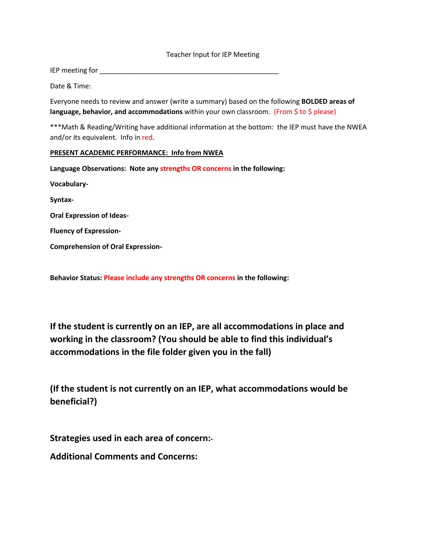## Teacher Input for IEP Meeting

IEP meeting for \_\_\_\_\_\_\_\_\_\_\_\_\_\_\_\_\_\_\_\_\_\_\_\_\_\_\_\_\_\_\_\_\_\_\_\_\_\_\_\_\_\_\_\_\_\_\_

Date & Time:

Everyone needs to review and answer (write a summary) based on the following **BOLDED areas of language, behavior, and accommodations** within your own classroom. (From \$ to \$ please)

\*\*\*Math & Reading/Writing have additional information at the bottom: the IEP must have the NWEA and/or its equivalent. Info in red.

## **PRESENT ACADEMIC PERFORMANCE: Info from NWEA**

**Language Observations: Note any strengths OR concerns in the following:**

**Vocabulary-**

**Syntax-**

**Oral Expression of Ideas-**

**Fluency of Expression-**

**Comprehension of Oral Expression-**

**Behavior Status: Please include any strengths OR concerns in the following:**

**If the student is currently on an IEP, are all accommodations in place and working in the classroom? (You should be able to find this individual's accommodations in the file folder given you in the fall)**

**(If the student is not currently on an IEP, what accommodations would be beneficial?)**

**Strategies used in each area of concern:-**

**Additional Comments and Concerns:**